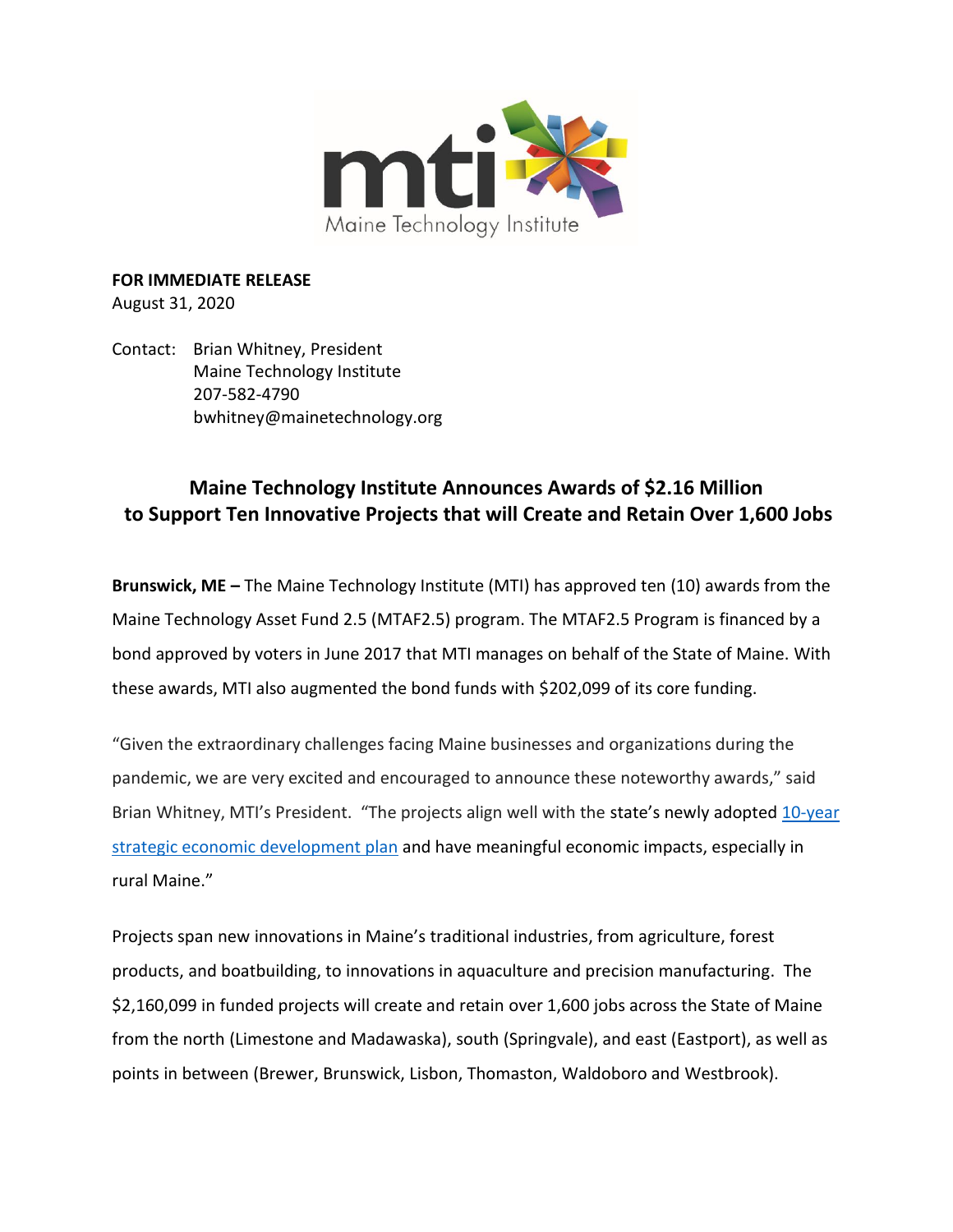

**FOR IMMEDIATE RELEASE** August 31, 2020

Contact: Brian Whitney, President Maine Technology Institute 207-582-4790 bwhitney@mainetechnology.org

# **Maine Technology Institute Announces Awards of \$2.16 Million to Support Ten Innovative Projects that will Create and Retain Over 1,600 Jobs**

**Brunswick, ME –** The Maine Technology Institute (MTI) has approved ten (10) awards from the Maine Technology Asset Fund 2.5 (MTAF2.5) program. The MTAF2.5 Program is financed by a bond approved by voters in June 2017 that MTI manages on behalf of the State of Maine. With these awards, MTI also augmented the bond funds with \$202,099 of its core funding.

"Given the extraordinary challenges facing Maine businesses and organizations during the pandemic, we are very excited and encouraged to announce these noteworthy awards," said Brian Whitney, MTI's President. "The projects align well with the state's newly adopted 10-year [strategic economic development plan](https://www.maine.gov/governor/mills/news/governor-mills-unveils-ten-year-strategic-economic-development-plan-focused-promoting) and have meaningful economic impacts, especially in rural Maine."

Projects span new innovations in Maine's traditional industries, from agriculture, forest products, and boatbuilding, to innovations in aquaculture and precision manufacturing. The \$2,160,099 in funded projects will create and retain over 1,600 jobs across the State of Maine from the north (Limestone and Madawaska), south (Springvale), and east (Eastport), as well as points in between (Brewer, Brunswick, Lisbon, Thomaston, Waldoboro and Westbrook).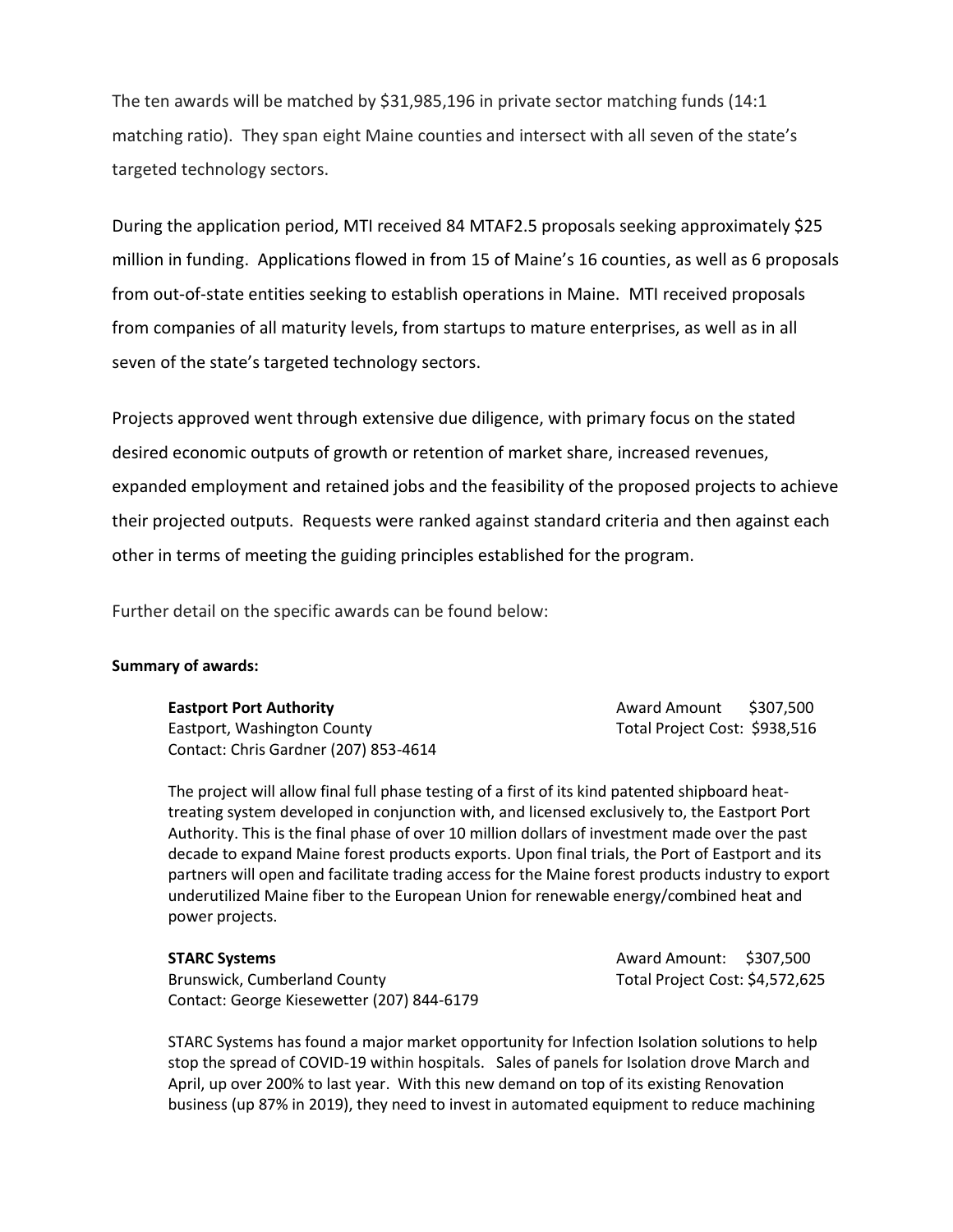The ten awards will be matched by \$31,985,196 in private sector matching funds (14:1 matching ratio). They span eight Maine counties and intersect with all seven of the state's targeted technology sectors.

During the application period, MTI received 84 MTAF2.5 proposals seeking approximately \$25 million in funding. Applications flowed in from 15 of Maine's 16 counties, as well as 6 proposals from out-of-state entities seeking to establish operations in Maine. MTI received proposals from companies of all maturity levels, from startups to mature enterprises, as well as in all seven of the state's targeted technology sectors.

Projects approved went through extensive due diligence, with primary focus on the stated desired economic outputs of growth or retention of market share, increased revenues, expanded employment and retained jobs and the feasibility of the proposed projects to achieve their projected outputs. Requests were ranked against standard criteria and then against each other in terms of meeting the guiding principles established for the program.

Further detail on the specific awards can be found below:

## **Summary of awards:**

**Eastport Port Authority Award Amount \$307,500** Eastport, Washington County Total Project Cost: \$938,516 Contact: Chris Gardner (207) 853-4614

The project will allow final full phase testing of a first of its kind patented shipboard heattreating system developed in conjunction with, and licensed exclusively to, the Eastport Port Authority. This is the final phase of over 10 million dollars of investment made over the past decade to expand Maine forest products exports. Upon final trials, the Port of Eastport and its partners will open and facilitate trading access for the Maine forest products industry to export underutilized Maine fiber to the European Union for renewable energy/combined heat and power projects.

**STARC Systems Award Amount: \$307,500** Brunswick, Cumberland County **Total Project Cost: \$4,572,625** Contact: George Kiesewetter (207) 844-6179

STARC Systems has found a major market opportunity for Infection Isolation solutions to help stop the spread of COVID-19 within hospitals. Sales of panels for Isolation drove March and April, up over 200% to last year. With this new demand on top of its existing Renovation business (up 87% in 2019), they need to invest in automated equipment to reduce machining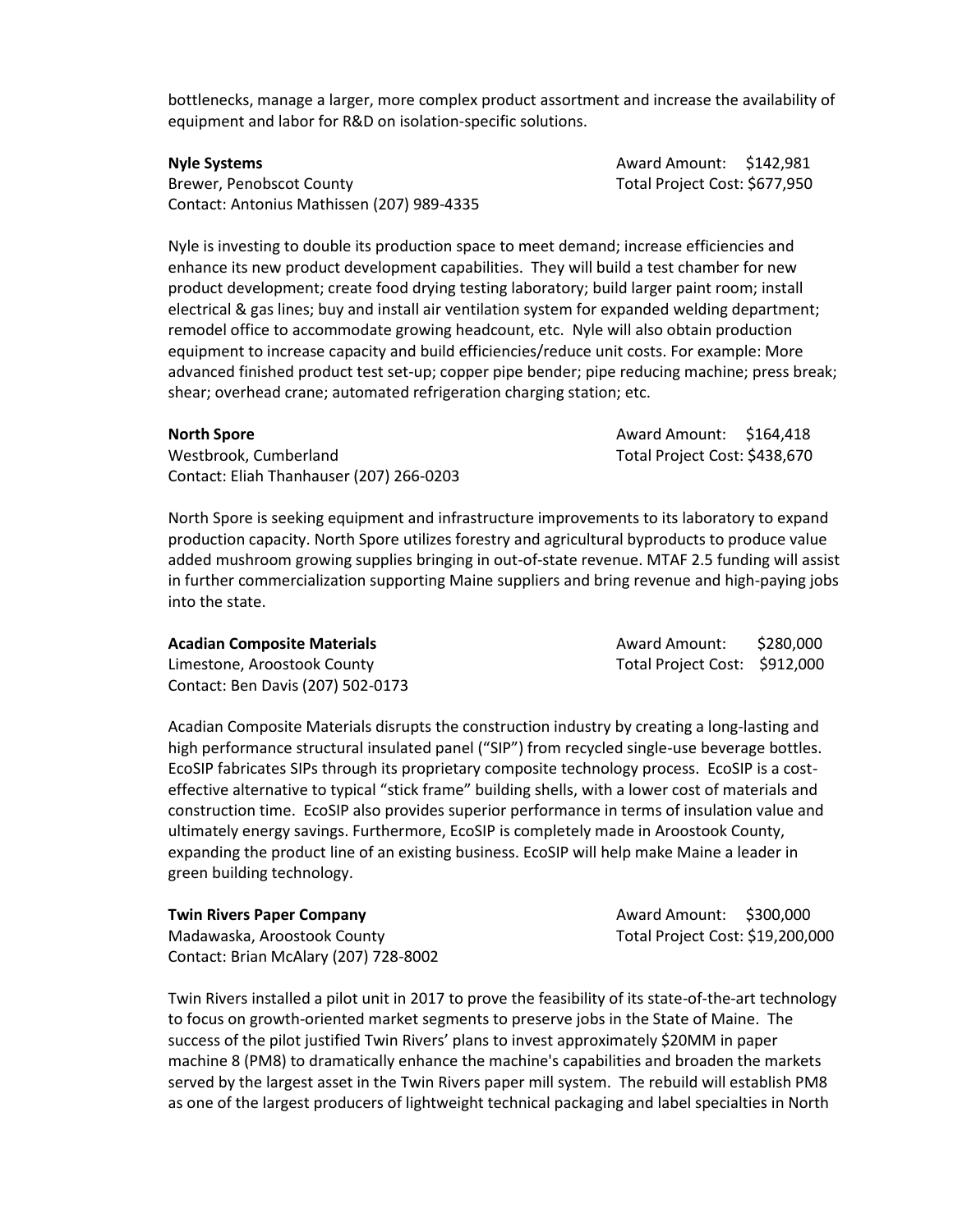bottlenecks, manage a larger, more complex product assortment and increase the availability of equipment and labor for R&D on isolation-specific solutions.

Brewer, Penobscot County **The Cost of Contract Cost: \$677,950** Total Project Cost: \$677,950 Contact: Antonius Mathissen (207) 989-4335

**Nyle Systems Award Amount: \$142,981** 

Nyle is investing to double its production space to meet demand; increase efficiencies and enhance its new product development capabilities. They will build a test chamber for new product development; create food drying testing laboratory; build larger paint room; install electrical & gas lines; buy and install air ventilation system for expanded welding department; remodel office to accommodate growing headcount, etc. Nyle will also obtain production equipment to increase capacity and build efficiencies/reduce unit costs. For example: More advanced finished product test set-up; copper pipe bender; pipe reducing machine; press break; shear; overhead crane; automated refrigeration charging station; etc.

| North Spore                              | Award Amount: \$164,418       |
|------------------------------------------|-------------------------------|
| Westbrook. Cumberland                    | Total Project Cost: \$438,670 |
| Contact: Eliah Thanhauser (207) 266-0203 |                               |

North Spore is seeking equipment and infrastructure improvements to its laboratory to expand production capacity. North Spore utilizes forestry and agricultural byproducts to produce value added mushroom growing supplies bringing in out-of-state revenue. MTAF 2.5 funding will assist in further commercialization supporting Maine suppliers and bring revenue and high-paying jobs into the state.

| <b>Acadian Composite Materials</b> | Award Amount:                 | \$280,000 |
|------------------------------------|-------------------------------|-----------|
| Limestone, Aroostook County        | Total Project Cost: \$912,000 |           |
| Contact: Ben Davis (207) 502-0173  |                               |           |

Acadian Composite Materials disrupts the construction industry by creating a long-lasting and high performance structural insulated panel ("SIP") from recycled single-use beverage bottles. EcoSIP fabricates SIPs through its proprietary composite technology process. EcoSIP is a costeffective alternative to typical "stick frame" building shells, with a lower cost of materials and construction time. EcoSIP also provides superior performance in terms of insulation value and ultimately energy savings. Furthermore, EcoSIP is completely made in Aroostook County, expanding the product line of an existing business. EcoSIP will help make Maine a leader in green building technology.

| <b>Twin Rivers Paper Company</b>      | Award Am    |
|---------------------------------------|-------------|
| Madawaska, Aroostook County           | Total Proje |
| Contact: Brian McAlary (207) 728-8002 |             |

Twin Rivers installed a pilot unit in 2017 to prove the feasibility of its state-of-the-art technology to focus on growth-oriented market segments to preserve jobs in the State of Maine. The success of the pilot justified Twin Rivers' plans to invest approximately \$20MM in paper machine 8 (PM8) to dramatically enhance the machine's capabilities and broaden the markets served by the largest asset in the Twin Rivers paper mill system. The rebuild will establish PM8 as one of the largest producers of lightweight technical packaging and label specialties in North

**Twin Rivers Paper Company** Award Amount: \$300,000 ect Cost: \$19,200,000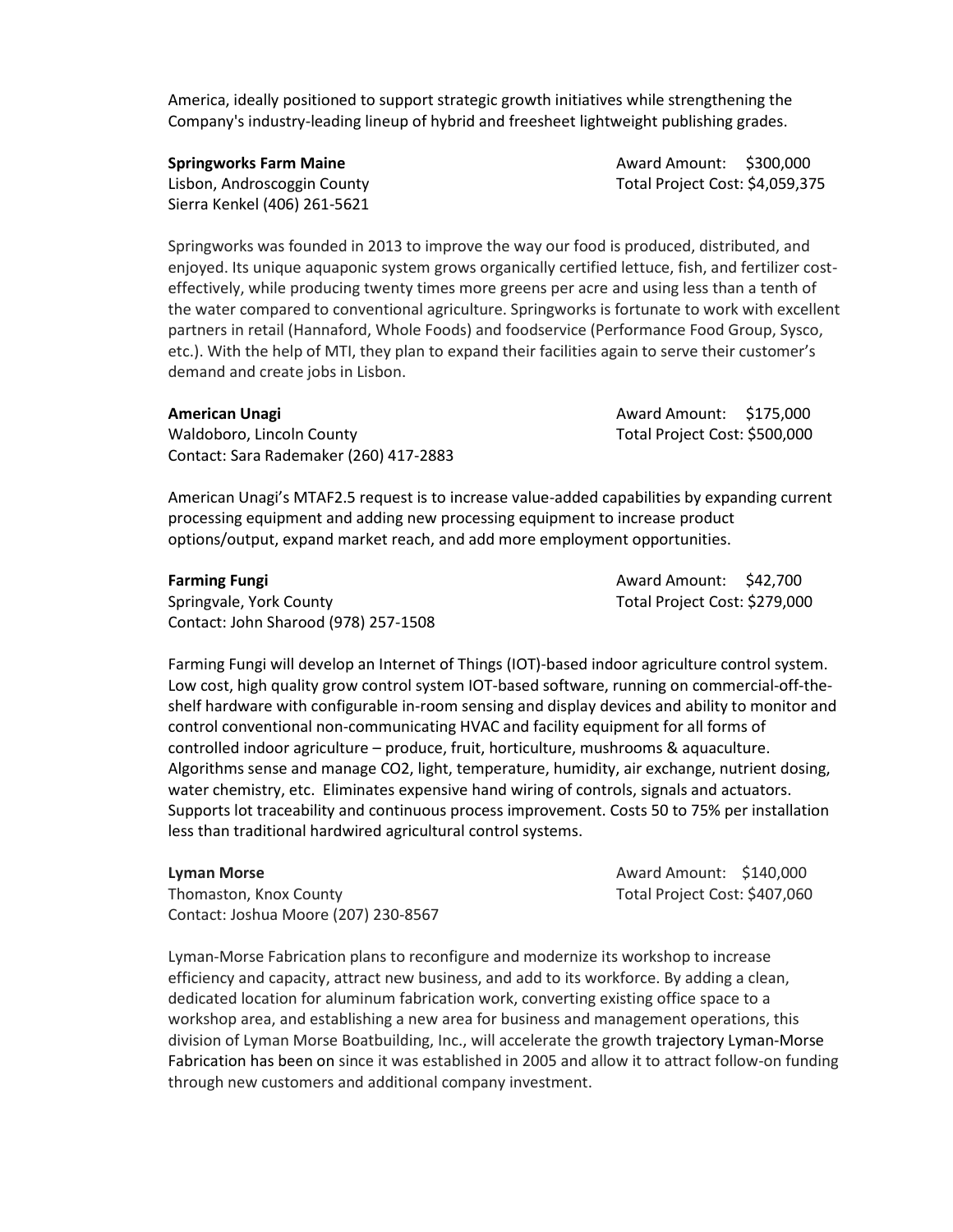America, ideally positioned to support strategic growth initiatives while strengthening the Company's industry-leading lineup of hybrid and freesheet lightweight publishing grades.

Sierra Kenkel (406) 261-5621

**Springworks Farm Maine Award Amount: \$300,000 Award Amount: \$300,000** Lisbon, Androscoggin County **Total Project Cost: \$4,059,375** 

Springworks was founded in 2013 to improve the way our food is produced, distributed, and enjoyed. Its unique aquaponic system grows organically certified lettuce, fish, and fertilizer costeffectively, while producing twenty times more greens per acre and using less than a tenth of the water compared to conventional agriculture. Springworks is fortunate to work with excellent partners in retail (Hannaford, Whole Foods) and foodservice (Performance Food Group, Sysco, etc.). With the help of MTI, they plan to expand their facilities again to serve their customer's demand and create jobs in Lisbon.

| American Unagi                         | Award Amount: \$175,000       |  |
|----------------------------------------|-------------------------------|--|
| Waldoboro, Lincoln County              | Total Project Cost: \$500,000 |  |
| Contact: Sara Rademaker (260) 417-2883 |                               |  |

American Unagi's MTAF2.5 request is to increase value-added capabilities by expanding current processing equipment and adding new processing equipment to increase product options/output, expand market reach, and add more employment opportunities.

Springvale, York County Total Project Cost: \$279,000 Contact: John Sharood (978) 257-1508

**Farming Fungi Award Amount: \$42,700** 

Farming Fungi will develop an Internet of Things (IOT)-based indoor agriculture control system. Low cost, high quality grow control system IOT-based software, running on commercial-off-theshelf hardware with configurable in-room sensing and display devices and ability to monitor and control conventional non-communicating HVAC and facility equipment for all forms of controlled indoor agriculture – produce, fruit, horticulture, mushrooms & aquaculture. Algorithms sense and manage CO2, light, temperature, humidity, air exchange, nutrient dosing, water chemistry, etc. Eliminates expensive hand wiring of controls, signals and actuators. Supports lot traceability and continuous process improvement. Costs 50 to 75% per installation less than traditional hardwired agricultural control systems.

Thomaston, Knox County Total Project Cost: \$407,060 Contact: Joshua Moore (207) 230-8567

**Lyman Morse Award Amount: \$140,000** 

Lyman-Morse Fabrication plans to reconfigure and modernize its workshop to increase efficiency and capacity, attract new business, and add to its workforce. By adding a clean, dedicated location for aluminum fabrication work, converting existing office space to a workshop area, and establishing a new area for business and management operations, this division of Lyman Morse Boatbuilding, Inc., will accelerate the growth trajectory Lyman-Morse Fabrication has been on since it was established in 2005 and allow it to attract follow-on funding through new customers and additional company investment.